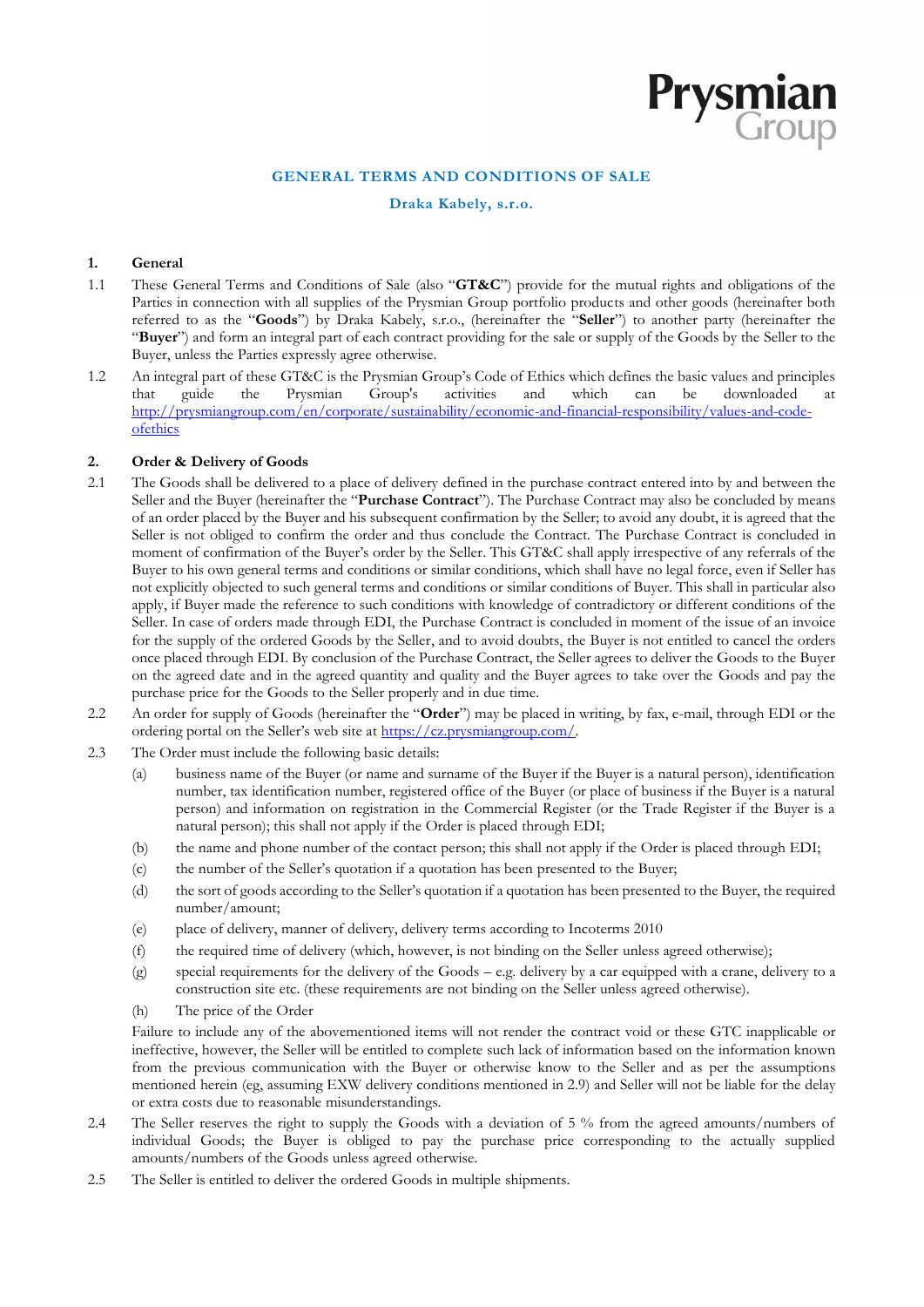# **GENERAL TERMS AND CONDITIONS OF SALE**

**Prysmian** 

## **Draka Kabely, s.r.o.**

## **1. General**

- 1.1 These General Terms and Conditions of Sale (also "**GT&C**") provide for the mutual rights and obligations of the Parties in connection with all supplies of the Prysmian Group portfolio products and other goods (hereinafter both referred to as the "**Goods**") by Draka Kabely, s.r.o., (hereinafter the "**Seller**") to another party (hereinafter the "**Buyer**") and form an integral part of each contract providing for the sale or supply of the Goods by the Seller to the Buyer, unless the Parties expressly agree otherwise.
- 1.2 An integral part of these GT&C is the Prysmian Group's Code of Ethics which defines the basic values and principles that quide the Prysmian Group's activities and which can be downloaded at that guide the Prysmian Group's activities and which can be downloaded at [http://prysmiangroup.com/en/corporate/sustainability/economic-and-financial-responsibility/values-and-code](http://prysmiangroup.com/en/corporate/sustainability/economic-and-financial-responsibility/values-and-code-ofethics)[ofethics](http://prysmiangroup.com/en/corporate/sustainability/economic-and-financial-responsibility/values-and-code-ofethics)

### **2. Order & Delivery of Goods**

- 2.1 The Goods shall be delivered to a place of delivery defined in the purchase contract entered into by and between the Seller and the Buyer (hereinafter the "**Purchase Contract**"). The Purchase Contract may also be concluded by means of an order placed by the Buyer and his subsequent confirmation by the Seller; to avoid any doubt, it is agreed that the Seller is not obliged to confirm the order and thus conclude the Contract. The Purchase Contract is concluded in moment of confirmation of the Buyer's order by the Seller. This GT&C shall apply irrespective of any referrals of the Buyer to his own general terms and conditions or similar conditions, which shall have no legal force, even if Seller has not explicitly objected to such general terms and conditions or similar conditions of Buyer. This shall in particular also apply, if Buyer made the reference to such conditions with knowledge of contradictory or different conditions of the Seller. In case of orders made through EDI, the Purchase Contract is concluded in moment of the issue of an invoice for the supply of the ordered Goods by the Seller, and to avoid doubts, the Buyer is not entitled to cancel the orders once placed through EDI. By conclusion of the Purchase Contract, the Seller agrees to deliver the Goods to the Buyer on the agreed date and in the agreed quantity and quality and the Buyer agrees to take over the Goods and pay the purchase price for the Goods to the Seller properly and in due time.
- 2.2 An order for supply of Goods (hereinafter the "**Order**") may be placed in writing, by fax, e-mail, through EDI or the ordering portal on the Seller's web site at https://cz.prysmiangroup.com/.
- 2.3 The Order must include the following basic details:
	- (a) business name of the Buyer (or name and surname of the Buyer if the Buyer is a natural person), identification number, tax identification number, registered office of the Buyer (or place of business if the Buyer is a natural person) and information on registration in the Commercial Register (or the Trade Register if the Buyer is a natural person); this shall not apply if the Order is placed through EDI;
	- (b) the name and phone number of the contact person; this shall not apply if the Order is placed through EDI;
	- (c) the number of the Seller's quotation if a quotation has been presented to the Buyer;
	- (d) the sort of goods according to the Seller's quotation if a quotation has been presented to the Buyer, the required number/amount;
	- (e) place of delivery, manner of delivery, delivery terms according to Incoterms 2010
	- (f) the required time of delivery (which, however, is not binding on the Seller unless agreed otherwise);
	- $(g)$  special requirements for the delivery of the Goods e.g. delivery by a car equipped with a crane, delivery to a construction site etc. (these requirements are not binding on the Seller unless agreed otherwise).
	- (h) The price of the Order

Failure to include any of the abovementioned items will not render the contract void or these GTC inapplicable or ineffective, however, the Seller will be entitled to complete such lack of information based on the information known from the previous communication with the Buyer or otherwise know to the Seller and as per the assumptions mentioned herein (eg, assuming EXW delivery conditions mentioned in 2.9) and Seller will not be liable for the delay or extra costs due to reasonable misunderstandings.

- 2.4 The Seller reserves the right to supply the Goods with a deviation of 5 % from the agreed amounts/numbers of individual Goods; the Buyer is obliged to pay the purchase price corresponding to the actually supplied amounts/numbers of the Goods unless agreed otherwise.
- 2.5 The Seller is entitled to deliver the ordered Goods in multiple shipments.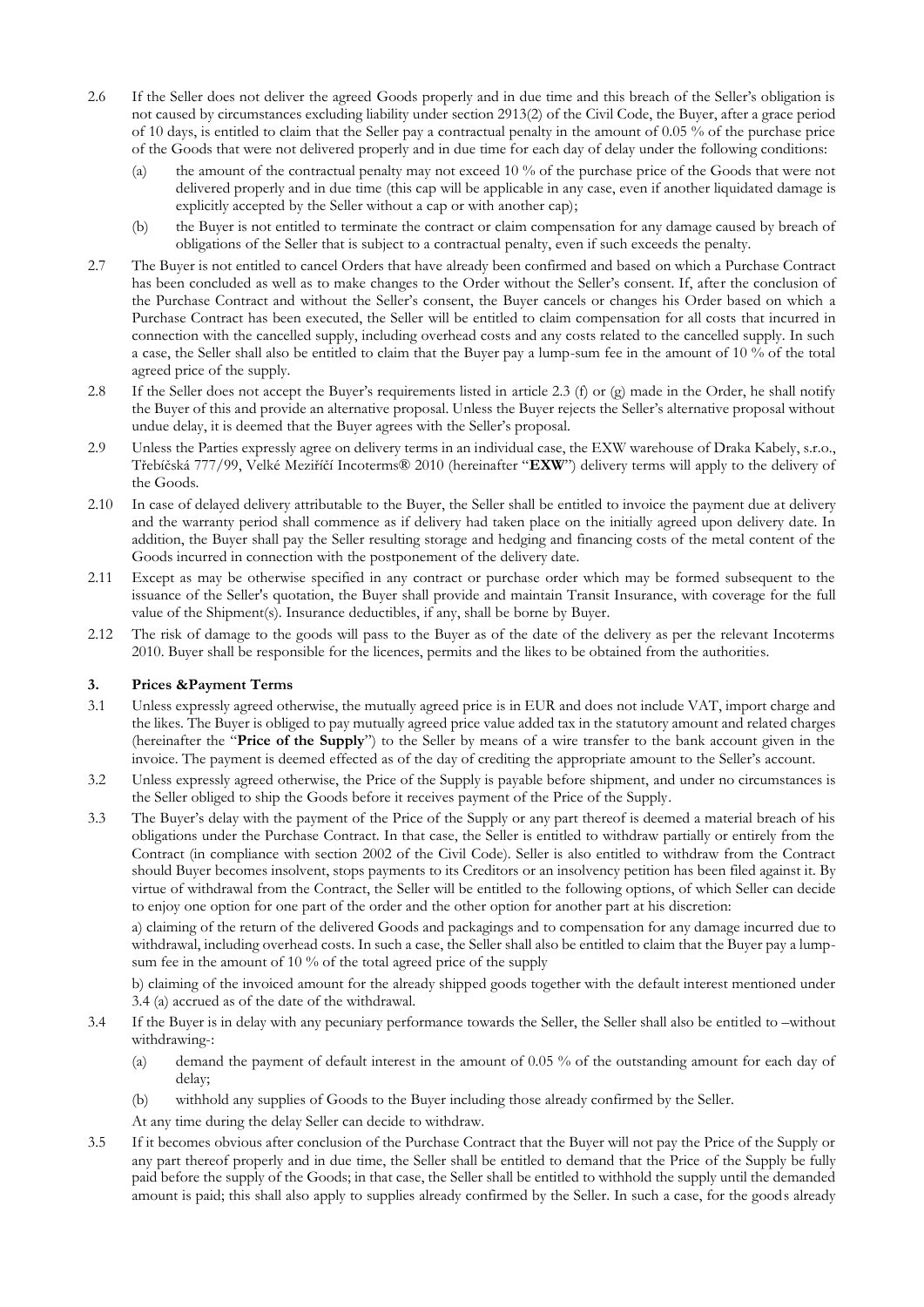- 2.6 If the Seller does not deliver the agreed Goods properly and in due time and this breach of the Seller's obligation is not caused by circumstances excluding liability under section 2913(2) of the Civil Code, the Buyer, after a grace period of 10 days, is entitled to claim that the Seller pay a contractual penalty in the amount of 0.05 % of the purchase price of the Goods that were not delivered properly and in due time for each day of delay under the following conditions:
	- (a) the amount of the contractual penalty may not exceed 10 % of the purchase price of the Goods that were not delivered properly and in due time (this cap will be applicable in any case, even if another liquidated damage is explicitly accepted by the Seller without a cap or with another cap);
	- (b) the Buyer is not entitled to terminate the contract or claim compensation for any damage caused by breach of obligations of the Seller that is subject to a contractual penalty, even if such exceeds the penalty.
- 2.7 The Buyer is not entitled to cancel Orders that have already been confirmed and based on which a Purchase Contract has been concluded as well as to make changes to the Order without the Seller's consent. If, after the conclusion of the Purchase Contract and without the Seller's consent, the Buyer cancels or changes his Order based on which a Purchase Contract has been executed, the Seller will be entitled to claim compensation for all costs that incurred in connection with the cancelled supply, including overhead costs and any costs related to the cancelled supply. In such a case, the Seller shall also be entitled to claim that the Buyer pay a lump-sum fee in the amount of 10 % of the total agreed price of the supply.
- 2.8 If the Seller does not accept the Buyer's requirements listed in article 2.3 (f) or (g) made in the Order, he shall notify the Buyer of this and provide an alternative proposal. Unless the Buyer rejects the Seller's alternative proposal without undue delay, it is deemed that the Buyer agrees with the Seller's proposal.
- 2.9 Unless the Parties expressly agree on delivery terms in an individual case, the EXW warehouse of Draka Kabely, s.r.o., Třebíčská 777/99, Velké Meziříčí Incoterms® 2010 (hereinafter "**EXW**") delivery terms will apply to the delivery of the Goods.
- 2.10 In case of delayed delivery attributable to the Buyer, the Seller shall be entitled to invoice the payment due at delivery and the warranty period shall commence as if delivery had taken place on the initially agreed upon delivery date. In addition, the Buyer shall pay the Seller resulting storage and hedging and financing costs of the metal content of the Goods incurred in connection with the postponement of the delivery date.
- 2.11 Except as may be otherwise specified in any contract or purchase order which may be formed subsequent to the issuance of the Seller's quotation, the Buyer shall provide and maintain Transit Insurance, with coverage for the full value of the Shipment(s). Insurance deductibles, if any, shall be borne by Buyer.
- 2.12 The risk of damage to the goods will pass to the Buyer as of the date of the delivery as per the relevant Incoterms 2010. Buyer shall be responsible for the licences, permits and the likes to be obtained from the authorities.

### **3. Prices &Payment Terms**

- 3.1 Unless expressly agreed otherwise, the mutually agreed price is in EUR and does not include VAT, import charge and the likes. The Buyer is obliged to pay mutually agreed price value added tax in the statutory amount and related charges (hereinafter the "**Price of the Supply**") to the Seller by means of a wire transfer to the bank account given in the invoice. The payment is deemed effected as of the day of crediting the appropriate amount to the Seller's account.
- 3.2 Unless expressly agreed otherwise, the Price of the Supply is payable before shipment, and under no circumstances is the Seller obliged to ship the Goods before it receives payment of the Price of the Supply.
- 3.3 The Buyer's delay with the payment of the Price of the Supply or any part thereof is deemed a material breach of his obligations under the Purchase Contract. In that case, the Seller is entitled to withdraw partially or entirely from the Contract (in compliance with section 2002 of the Civil Code). Seller is also entitled to withdraw from the Contract should Buyer becomes insolvent, stops payments to its Creditors or an insolvency petition has been filed against it. By virtue of withdrawal from the Contract, the Seller will be entitled to the following options, of which Seller can decide to enjoy one option for one part of the order and the other option for another part at his discretion:

a) claiming of the return of the delivered Goods and packagings and to compensation for any damage incurred due to withdrawal, including overhead costs. In such a case, the Seller shall also be entitled to claim that the Buyer pay a lumpsum fee in the amount of 10 % of the total agreed price of the supply

b) claiming of the invoiced amount for the already shipped goods together with the default interest mentioned under 3.4 (a) accrued as of the date of the withdrawal.

- 3.4 If the Buyer is in delay with any pecuniary performance towards the Seller, the Seller shall also be entitled to –without withdrawing-:
	- (a) demand the payment of default interest in the amount of 0.05 % of the outstanding amount for each day of delay;
	- (b) withhold any supplies of Goods to the Buyer including those already confirmed by the Seller.

At any time during the delay Seller can decide to withdraw.

3.5 If it becomes obvious after conclusion of the Purchase Contract that the Buyer will not pay the Price of the Supply or any part thereof properly and in due time, the Seller shall be entitled to demand that the Price of the Supply be fully paid before the supply of the Goods; in that case, the Seller shall be entitled to withhold the supply until the demanded amount is paid; this shall also apply to supplies already confirmed by the Seller. In such a case, for the goods already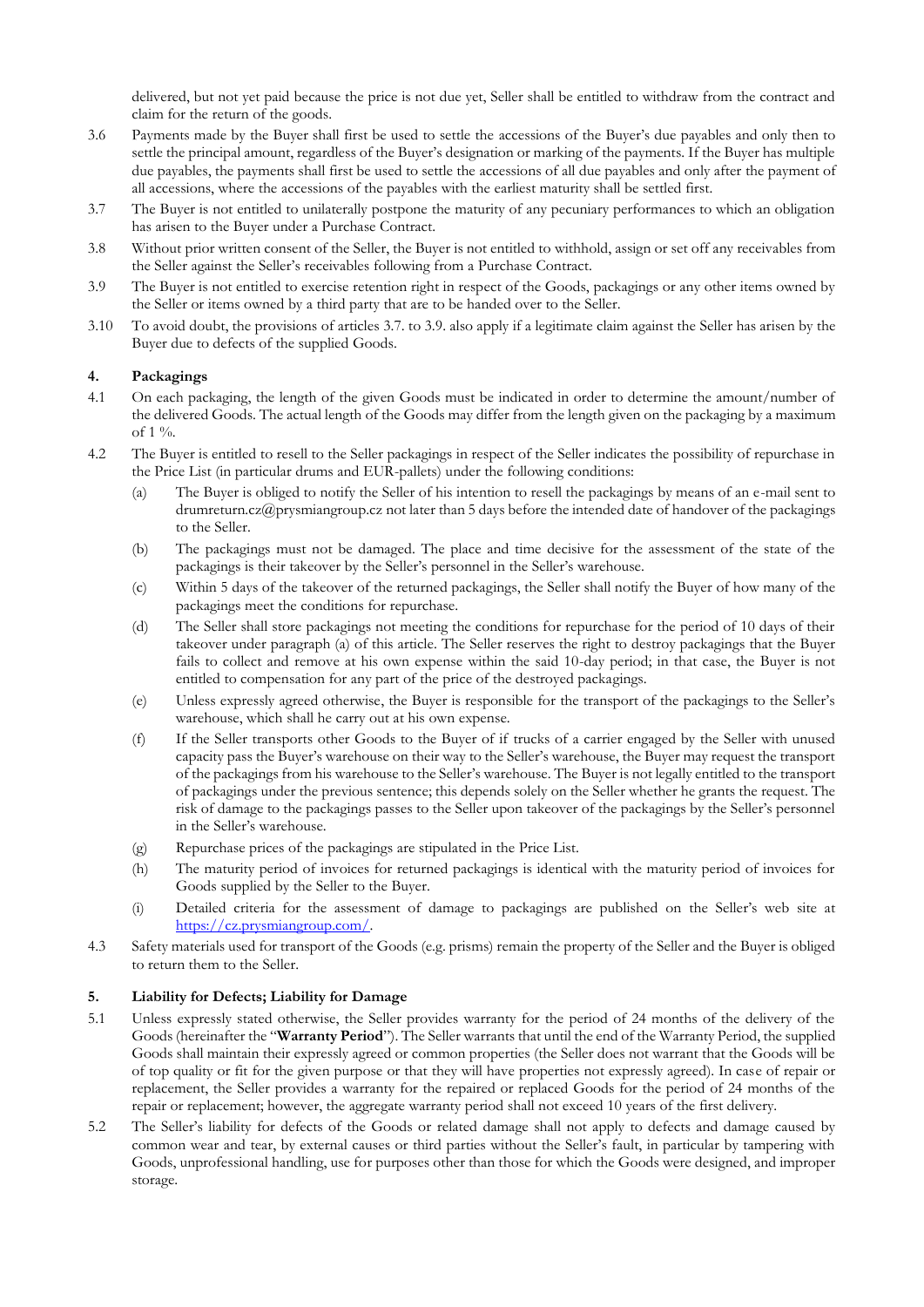delivered, but not yet paid because the price is not due yet, Seller shall be entitled to withdraw from the contract and claim for the return of the goods.

- 3.6 Payments made by the Buyer shall first be used to settle the accessions of the Buyer's due payables and only then to settle the principal amount, regardless of the Buyer's designation or marking of the payments. If the Buyer has multiple due payables, the payments shall first be used to settle the accessions of all due payables and only after the payment of all accessions, where the accessions of the payables with the earliest maturity shall be settled first.
- 3.7 The Buyer is not entitled to unilaterally postpone the maturity of any pecuniary performances to which an obligation has arisen to the Buyer under a Purchase Contract.
- 3.8 Without prior written consent of the Seller, the Buyer is not entitled to withhold, assign or set off any receivables from the Seller against the Seller's receivables following from a Purchase Contract.
- 3.9 The Buyer is not entitled to exercise retention right in respect of the Goods, packagings or any other items owned by the Seller or items owned by a third party that are to be handed over to the Seller.
- 3.10 To avoid doubt, the provisions of articles 3.7. to 3.9. also apply if a legitimate claim against the Seller has arisen by the Buyer due to defects of the supplied Goods.

## **4. Packagings**

- 4.1 On each packaging, the length of the given Goods must be indicated in order to determine the amount/number of the delivered Goods. The actual length of the Goods may differ from the length given on the packaging by a maximum of 1 %.
- 4.2 The Buyer is entitled to resell to the Seller packagings in respect of the Seller indicates the possibility of repurchase in the Price List (in particular drums and EUR-pallets) under the following conditions:
	- (a) The Buyer is obliged to notify the Seller of his intention to resell the packagings by means of an e-mail sent to drumreturn.cz@prysmiangroup.cz not later than 5 days before the intended date of handover of the packagings to the Seller.
	- (b) The packagings must not be damaged. The place and time decisive for the assessment of the state of the packagings is their takeover by the Seller's personnel in the Seller's warehouse.
	- (c) Within 5 days of the takeover of the returned packagings, the Seller shall notify the Buyer of how many of the packagings meet the conditions for repurchase.
	- (d) The Seller shall store packagings not meeting the conditions for repurchase for the period of 10 days of their takeover under paragraph (a) of this article. The Seller reserves the right to destroy packagings that the Buyer fails to collect and remove at his own expense within the said 10-day period; in that case, the Buyer is not entitled to compensation for any part of the price of the destroyed packagings.
	- (e) Unless expressly agreed otherwise, the Buyer is responsible for the transport of the packagings to the Seller's warehouse, which shall he carry out at his own expense.
	- (f) If the Seller transports other Goods to the Buyer of if trucks of a carrier engaged by the Seller with unused capacity pass the Buyer's warehouse on their way to the Seller's warehouse, the Buyer may request the transport of the packagings from his warehouse to the Seller's warehouse. The Buyer is not legally entitled to the transport of packagings under the previous sentence; this depends solely on the Seller whether he grants the request. The risk of damage to the packagings passes to the Seller upon takeover of the packagings by the Seller's personnel in the Seller's warehouse.
	- (g) Repurchase prices of the packagings are stipulated in the Price List.
	- (h) The maturity period of invoices for returned packagings is identical with the maturity period of invoices for Goods supplied by the Seller to the Buyer.
	- (i) Detailed criteria for the assessment of damage to packagings are published on the Seller's web site at [https://cz.prysmiangroup.com/.](https://cz.prysmiangroup.com/)
- 4.3 Safety materials used for transport of the Goods (e.g. prisms) remain the property of the Seller and the Buyer is obliged to return them to the Seller.

### **5. Liability for Defects; Liability for Damage**

- 5.1 Unless expressly stated otherwise, the Seller provides warranty for the period of 24 months of the delivery of the Goods (hereinafter the "**Warranty Period**"). The Seller warrants that until the end of the Warranty Period, the supplied Goods shall maintain their expressly agreed or common properties (the Seller does not warrant that the Goods will be of top quality or fit for the given purpose or that they will have properties not expressly agreed). In case of repair or replacement, the Seller provides a warranty for the repaired or replaced Goods for the period of 24 months of the repair or replacement; however, the aggregate warranty period shall not exceed 10 years of the first delivery.
- 5.2 The Seller's liability for defects of the Goods or related damage shall not apply to defects and damage caused by common wear and tear, by external causes or third parties without the Seller's fault, in particular by tampering with Goods, unprofessional handling, use for purposes other than those for which the Goods were designed, and improper storage.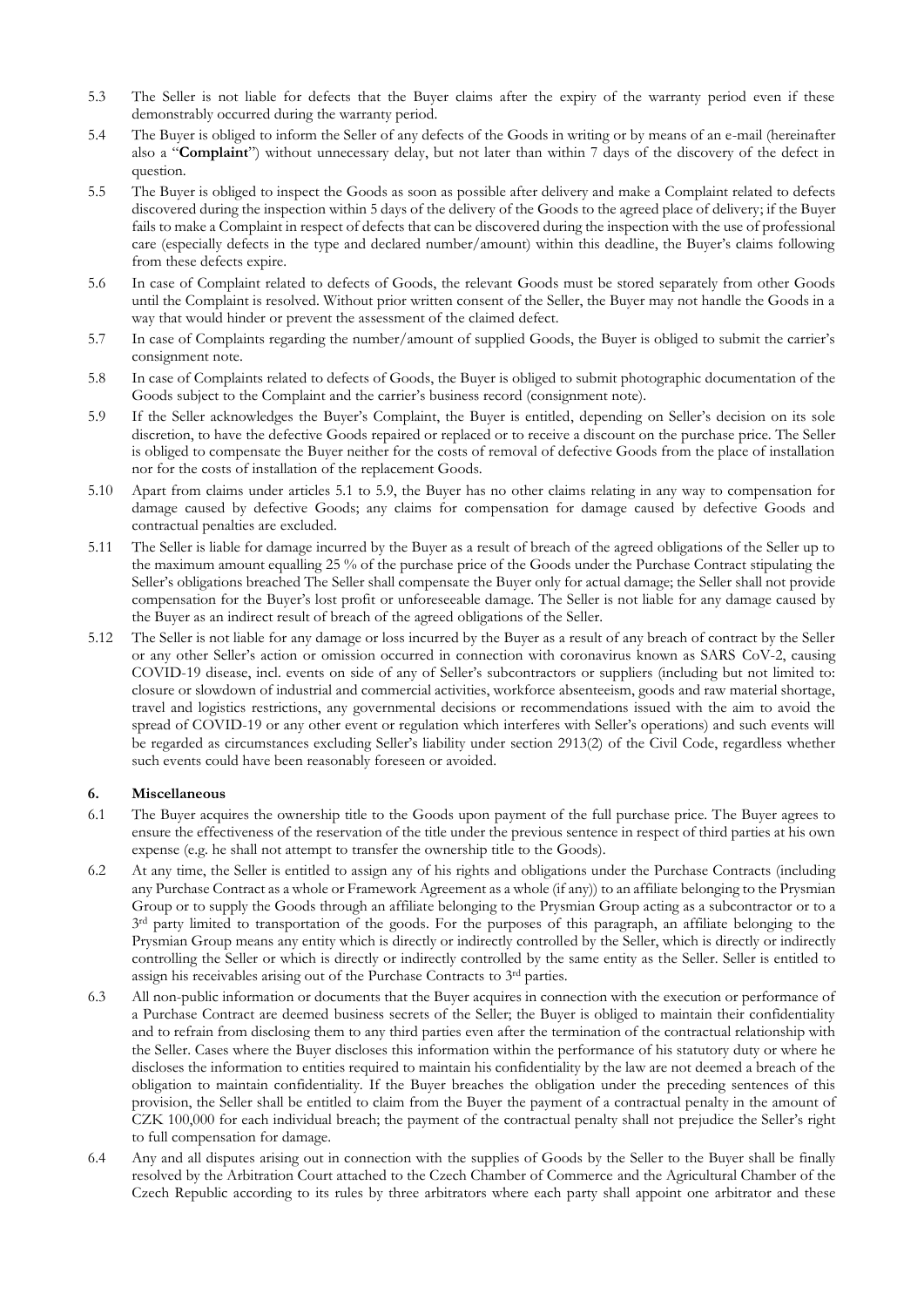- 5.3 The Seller is not liable for defects that the Buyer claims after the expiry of the warranty period even if these demonstrably occurred during the warranty period.
- 5.4 The Buyer is obliged to inform the Seller of any defects of the Goods in writing or by means of an e-mail (hereinafter also a "**Complaint**") without unnecessary delay, but not later than within 7 days of the discovery of the defect in question.
- 5.5 The Buyer is obliged to inspect the Goods as soon as possible after delivery and make a Complaint related to defects discovered during the inspection within 5 days of the delivery of the Goods to the agreed place of delivery; if the Buyer fails to make a Complaint in respect of defects that can be discovered during the inspection with the use of professional care (especially defects in the type and declared number/amount) within this deadline, the Buyer's claims following from these defects expire.
- 5.6 In case of Complaint related to defects of Goods, the relevant Goods must be stored separately from other Goods until the Complaint is resolved. Without prior written consent of the Seller, the Buyer may not handle the Goods in a way that would hinder or prevent the assessment of the claimed defect.
- 5.7 In case of Complaints regarding the number/amount of supplied Goods, the Buyer is obliged to submit the carrier's consignment note.
- 5.8 In case of Complaints related to defects of Goods, the Buyer is obliged to submit photographic documentation of the Goods subject to the Complaint and the carrier's business record (consignment note).
- 5.9 If the Seller acknowledges the Buyer's Complaint, the Buyer is entitled, depending on Seller's decision on its sole discretion, to have the defective Goods repaired or replaced or to receive a discount on the purchase price. The Seller is obliged to compensate the Buyer neither for the costs of removal of defective Goods from the place of installation nor for the costs of installation of the replacement Goods.
- 5.10 Apart from claims under articles 5.1 to 5.9, the Buyer has no other claims relating in any way to compensation for damage caused by defective Goods; any claims for compensation for damage caused by defective Goods and contractual penalties are excluded.
- 5.11 The Seller is liable for damage incurred by the Buyer as a result of breach of the agreed obligations of the Seller up to the maximum amount equalling 25 % of the purchase price of the Goods under the Purchase Contract stipulating the Seller's obligations breached The Seller shall compensate the Buyer only for actual damage; the Seller shall not provide compensation for the Buyer's lost profit or unforeseeable damage. The Seller is not liable for any damage caused by the Buyer as an indirect result of breach of the agreed obligations of the Seller.
- 5.12 The Seller is not liable for any damage or loss incurred by the Buyer as a result of any breach of contract by the Seller or any other Seller's action or omission occurred in connection with coronavirus known as SARS CoV-2, causing COVID-19 disease, incl. events on side of any of Seller's subcontractors or suppliers (including but not limited to: closure or slowdown of industrial and commercial activities, workforce absenteeism, goods and raw material shortage, travel and logistics restrictions, any governmental decisions or recommendations issued with the aim to avoid the spread of COVID-19 or any other event or regulation which interferes with Seller's operations) and such events will be regarded as circumstances excluding Seller's liability under section 2913(2) of the Civil Code, regardless whether such events could have been reasonably foreseen or avoided.

## **6. Miscellaneous**

- 6.1 The Buyer acquires the ownership title to the Goods upon payment of the full purchase price. The Buyer agrees to ensure the effectiveness of the reservation of the title under the previous sentence in respect of third parties at his own expense (e.g. he shall not attempt to transfer the ownership title to the Goods).
- 6.2 At any time, the Seller is entitled to assign any of his rights and obligations under the Purchase Contracts (including any Purchase Contract as a whole or Framework Agreement as a whole (if any)) to an affiliate belonging to the Prysmian Group or to supply the Goods through an affiliate belonging to the Prysmian Group acting as a subcontractor or to a 3<sup>rd</sup> party limited to transportation of the goods. For the purposes of this paragraph, an affiliate belonging to the Prysmian Group means any entity which is directly or indirectly controlled by the Seller, which is directly or indirectly controlling the Seller or which is directly or indirectly controlled by the same entity as the Seller. Seller is entitled to assign his receivables arising out of the Purchase Contracts to 3<sup>rd</sup> parties.
- 6.3 All non-public information or documents that the Buyer acquires in connection with the execution or performance of a Purchase Contract are deemed business secrets of the Seller; the Buyer is obliged to maintain their confidentiality and to refrain from disclosing them to any third parties even after the termination of the contractual relationship with the Seller. Cases where the Buyer discloses this information within the performance of his statutory duty or where he discloses the information to entities required to maintain his confidentiality by the law are not deemed a breach of the obligation to maintain confidentiality. If the Buyer breaches the obligation under the preceding sentences of this provision, the Seller shall be entitled to claim from the Buyer the payment of a contractual penalty in the amount of CZK 100,000 for each individual breach; the payment of the contractual penalty shall not prejudice the Seller's right to full compensation for damage.
- 6.4 Any and all disputes arising out in connection with the supplies of Goods by the Seller to the Buyer shall be finally resolved by the Arbitration Court attached to the Czech Chamber of Commerce and the Agricultural Chamber of the Czech Republic according to its rules by three arbitrators where each party shall appoint one arbitrator and these